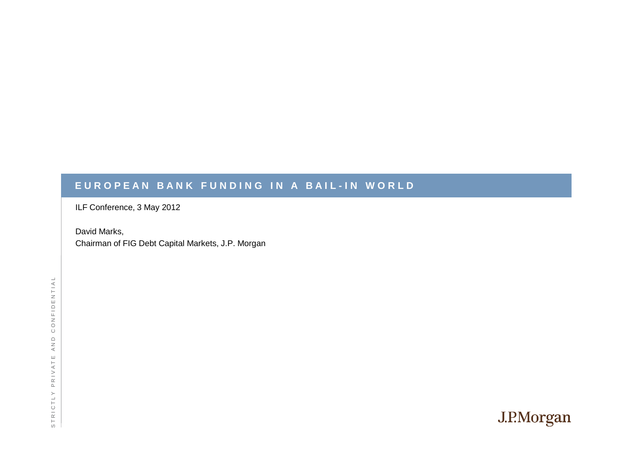#### EUROPEAN BANK FUNDING IN A BAIL-IN WORLD

ILF Conference, 3 May 2012

David Marks,Chairman of FIG Debt Capital Markets, J.P. Morgan

CONFIDENTIAL S T R I C T L Y P R I V A T E A N D C O N F I D E $\begin{array}{c}\n\bigcirc \\
A \setminus D\n\end{array}$ STRICTLY PRIVATE

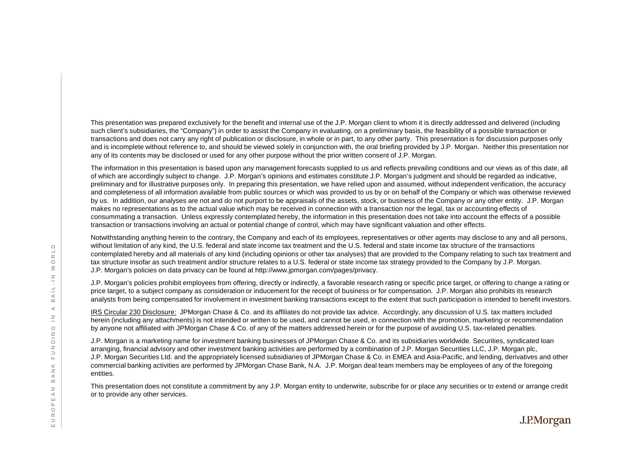This presentation was prepared exclusively for the benefit and internal use of the J.P. Morgan client to whom it is directly addressed and delivered (including such client's subsidiaries, the "Company") in order to assist the Company in evaluating, on a preliminary basis, the feasibility of a possible transaction or transactions and does not carry any right of publication or disclosure, in whole or in part, to any other party. This presentation is for discussion purposes only and is incomplete without reference to, and should be viewed solely in conjunction with, the oral briefing provided by J.P. Morgan. Neither this presentation nor any of its contents may be disclosed or used for any other purpose without the prior written consent of J.P. Morgan.

The information in this presentation is based upon any management forecasts supplied to us and reflects prevailing conditions and our views as of this date, all of which are accordingly subject to change. J.P. Morgan's opinions and estimates constitute J.P. Morgan's judgment and should be regarded as indicative, preliminary and for illustrative purposes only. In preparing this presentation, we have relied upon and assumed, without independent verification, the accuracy and completeness of all information available from public sources or which was provided to us by or on behalf of the Company or which was otherwise reviewed by us. In addition, our analyses are not and do not purport to be appraisals of the assets, stock, or business of the Company or any other entity. J.P. Morgan makes no representations as to the actual value which may be received in connection with a transaction nor the legal, tax or accounting effects of consummating a transaction. Unless expressly contemplated hereby, the information in this presentation does not take into account the effects of a possible transaction or transactions involving an actual or potential change of control, which may have significant valuation and other effects.

Notwithstanding anything herein to the contrary, the Company and each of its employees, representatives or other agents may disclose to any and all persons, without limitation of any kind, the U.S. federal and state income tax treatment and the U.S. federal and state income tax structure of the transactions contemplated hereby and all materials of any kind (including opinions or other tax analyses) that are provided to the Company relating to such tax treatment and tax structure insofar as such treatment and/or structure relates to a U.S. federal or state income tax strategy provided to the Company by J.P. Morgan. J.P. Morgan's policies on data privacy can be found at http://www.jpmorgan.com/pages/privacy. without limitation of any kind, the U.S. federal and state income tax treatment and the U.S. federal and state income tax structure of the transactions<br>
contemplated hereby and all materials of any kind (including opinion

J.P. Morgan's policies prohibit employees from offering, directly or indirectly, a favorable research rating or specific price target, or offering to change a rating or price target, to a subject company as consideration or inducement for the receipt of business or for compensation. J.P. Morgan also prohibits its research

I<u>RS Circular 230 Disclosure:</u> JPMorgan Chase & Co. and its affiliates do not provide tax advice. Accordingly, any discussion of U.S. tax matters included herein (including any attachments) is not intended or written to be used, and cannot be used, in connection with the promotion, marketing or recommendation by anyone not affiliated with JPMorgan Chase & Co. of any of the matters addressed herein or for the purpose of avoiding U.S. tax-related penalties.

J.P. Morgan is a marketing name for investment banking businesses of JPMorgan Chase & Co. and its subsidiaries worldwide. Securities, syndicated loan arranging, financial advisory and other investment banking activities are performed by a combination of J.P. Morgan Securities LLC, J.P. Morgan plc, J.P. Morgan Securities Ltd. and the appropriately licensed subsidiaries of JPMorgan Chase & Co. in EMEA and Asia-Pacific, and lending, derivatives and other commercial banking activities are performed by JPMorgan Chase Bank, N.A. J.P. Morgan deal team members may be employees of any of the foregoing entities.

This presentation does not constitute a commitment by any J.P. Morgan entity to underwrite, subscribe for or place any securities or to extend or arrange credit or to provide any other services.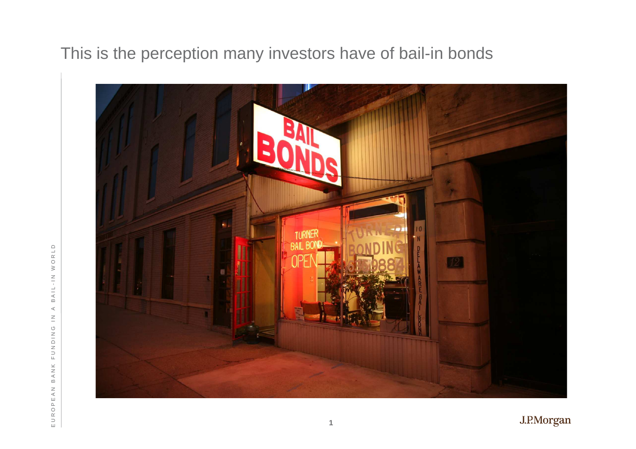This is the perception many investors have of bail-in bonds

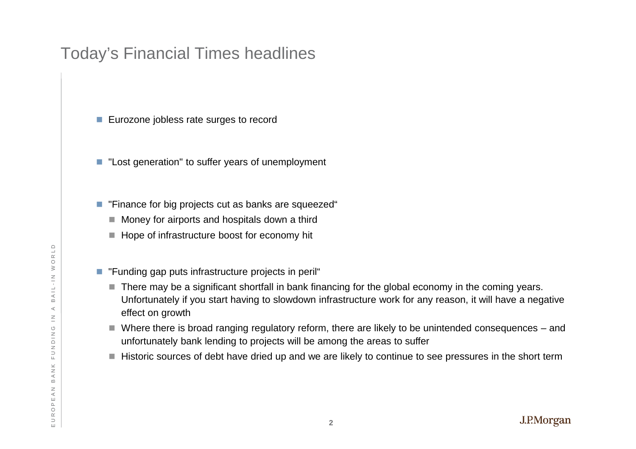# Today's Financial Times headlines

- Eurozone jobless rate surges to record
- "Lost generation" to suffer years of unemployment
- $\blacksquare$  "Finance for big projects cut as banks are squeezed"
	- $\blacksquare$  Money for airports and hospitals down a third
	- $\blacksquare$  Hope of infrastructure boost for economy hit
- $\blacksquare$  "Funding gap puts infrastructure projects in peril"
- There may be a significant shortfall in bank financing for the global economy in the coming years. BUNGER THE TRING IS THE THAT AN INTERNATION TO THE THAT A THE THAT THE PROP PUTS INTERFACT A SAN IN THE PROP OF SUITS THE PROP OF SUITS THE PROP OF SUITS AND THE PROP OF SUITS THE PROP OF AN INTERSTUCTURE WORK FOR ANY REA effect on growth
	- Where there is broad ranging regulatory reform, there are likely to be unintended consequences and unfortunately bank lending to projects will be among the areas to suffer
	- $\blacksquare$  Historic sources of debt have dried up and we are likely to continue to see pressures in the short term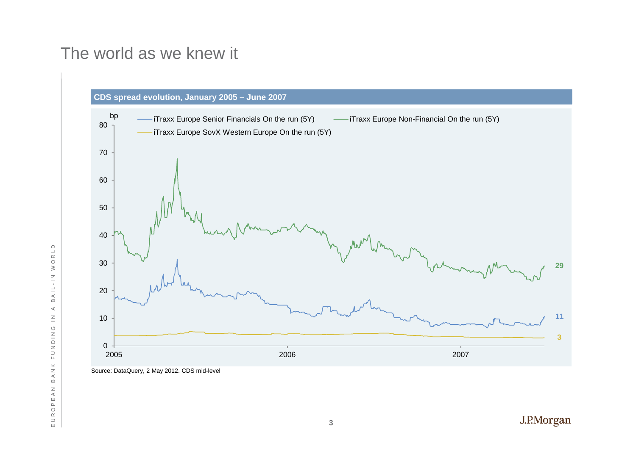#### The world as we knew it



Source: DataQuery, 2 May 2012. CDS mid-level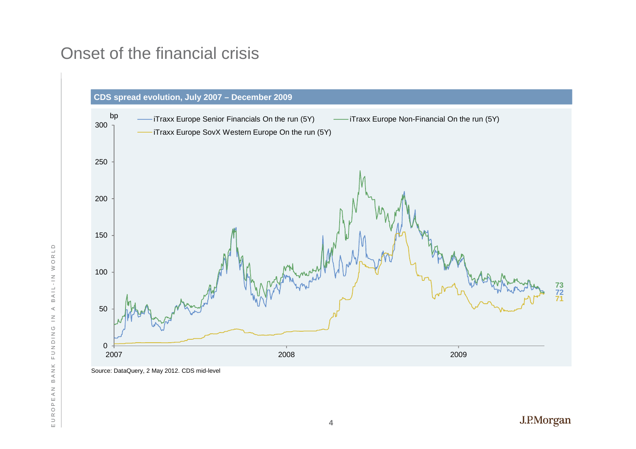# Onset of the financial crisis



Source: DataQuery, 2 May 2012. CDS mid-level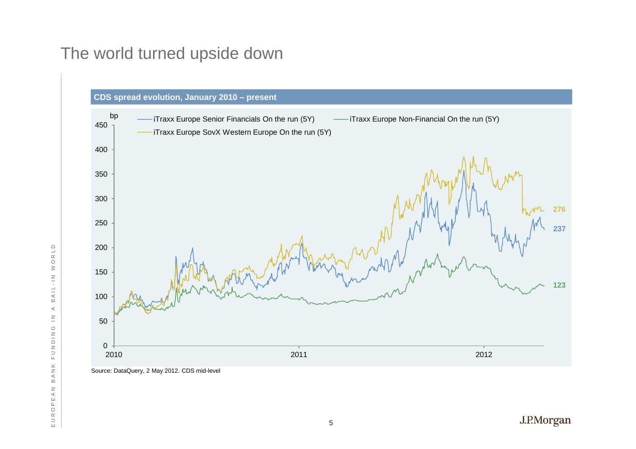# The world turned upside down



Source: DataQuery, 2 May 2012. CDS mid-level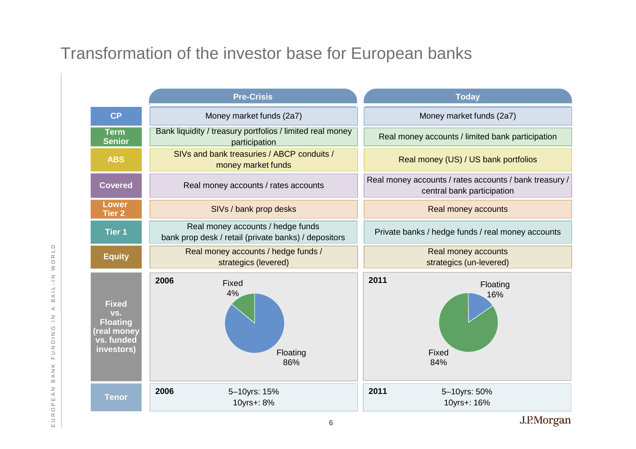# Transformation of the investor base for European banks

|                                                                                  | <b>Pre-Crisis</b>                                                                         |                            |      | <b>Today</b>                                                                         |            |
|----------------------------------------------------------------------------------|-------------------------------------------------------------------------------------------|----------------------------|------|--------------------------------------------------------------------------------------|------------|
| <b>CP</b>                                                                        | Money market funds (2a7)                                                                  |                            |      | Money market funds (2a7)                                                             |            |
| <b>Term</b><br><b>Senior</b>                                                     | Bank liquidity / treasury portfolios / limited real money<br>participation                |                            |      | Real money accounts / limited bank participation                                     |            |
| <b>ABS</b>                                                                       | SIVs and bank treasuries / ABCP conduits /<br>money market funds                          |                            |      | Real money (US) / US bank portfolios                                                 |            |
| <b>Covered</b>                                                                   | Real money accounts / rates accounts                                                      |                            |      | Real money accounts / rates accounts / bank treasury /<br>central bank participation |            |
| <b>Lower</b><br><b>Tier 2</b>                                                    | SIVs / bank prop desks                                                                    |                            |      | Real money accounts                                                                  |            |
| <b>Tier 1</b>                                                                    | Real money accounts / hedge funds<br>bank prop desk / retail (private banks) / depositors |                            |      | Private banks / hedge funds / real money accounts                                    |            |
| <b>Equity</b>                                                                    | Real money accounts / hedge funds /<br>strategics (levered)                               |                            |      | Real money accounts<br>strategics (un-levered)                                       |            |
| <b>Fixed</b><br>VS.<br><b>Floating</b><br>real money<br>vs. funded<br>investors) | 2006<br>Fixed<br>4%                                                                       | Floating<br>86%            | 2011 | Floating<br>16%<br>Fixed<br>84%                                                      |            |
| <b>Tenor</b>                                                                     | 2006                                                                                      | 5-10yrs: 15%<br>10yrs+: 8% | 2011 | 5-10yrs: 50%<br>10yrs+: 16%                                                          |            |
|                                                                                  |                                                                                           | 6                          |      |                                                                                      | J.P.Morgan |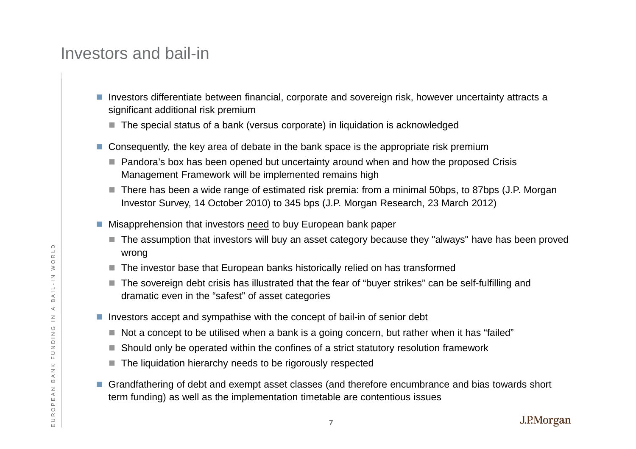#### Investors and bail-in

- H Investors differentiate between financial, corporate and sovereign risk, however uncertainty attracts a significant additional risk premium
	- $\blacksquare$  The special status of a bank (versus corporate) in liquidation is acknowledged
- Consequently, the key area of debate in the bank space is the appropriate risk premium
	- Pandora's box has been opened but uncertainty around when and how the proposed Crisis Management Framework will be implemented remains high
	- There has been a wide range of estimated risk premia: from a minimal 50bps, to 87bps (J.P. Morgan Investor Survey, 14 October 2010) to 345 bps (J.P. Morgan Research, 23 March 2012)
- Misapprehension that investors <u>need</u> to buy European bank paper
	- $\blacksquare$  The assumption that investors will buy an asset category because they "always" have has been proved wrong
	- $\blacksquare$  The investor base that European banks historically relied on has transformed
- The sovereign debt crisis has illustrated that the fear of "buyer strikes" can be self-fulfilling and  $\overline{\mathbb{R}}$   $\parallel$  dramatic even in the "safest" of asset categories
	- Investors accept and sympathise with the concept of bail-in of senior debt
		- $\blacksquare$  Not a concept to be utilised when a bank is a going concern, but rather when it has "failed"
		- $\blacksquare$  Should only be operated within the confines of a strict statutory resolution framework
		- The liquidation hierarchy needs to be rigorously respected
- П Grandfathering of debt and exempt asset classes (and therefore encumbrance and bias towards short term funding) as well as the implementation timetable are contentious issuesE<br>  $\frac{d}{d}$ <br>  $\frac{d}{d}$ <br> **E** Investors accept to be utilised when a bank is a goi<br> **E** Should only be operated within the confines of a<br> **E** Should only be operated within the confines of a<br> **E** The liquidation hierarchy